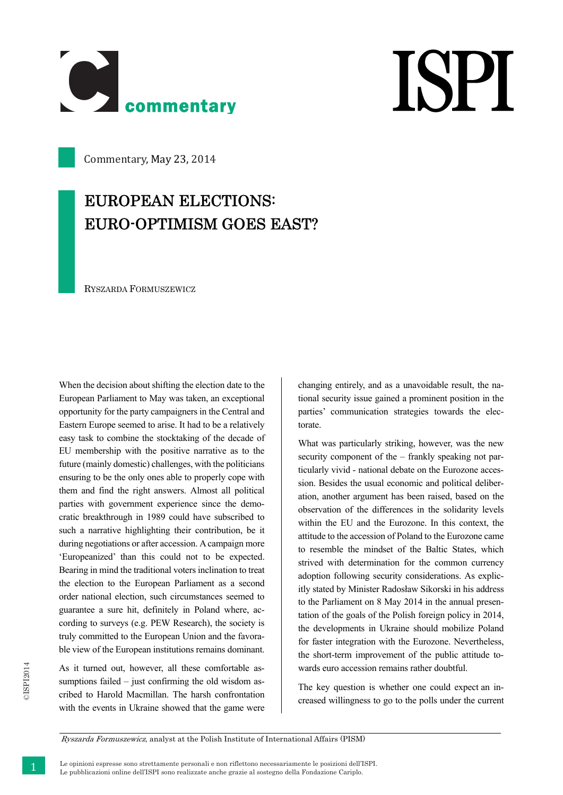

## **ISPI**

Commentary, May 23, 2014

## EUROPEAN ELECTIONS: EURO-OPTIMISM GOES EAST?

RYSZARDA FORMUSZEWICZ

When the decision about shifting the election date to the European Parliament to May was taken, an exceptional opportunity for the party campaigners in the Central and Eastern Europe seemed to arise. It had to be a relatively easy task to combine the stocktaking of the decade of EU membership with the positive narrative as to the future (mainly domestic) challenges, with the politicians ensuring to be the only ones able to properly cope with them and find the right answers. Almost all political parties with government experience since the democratic breakthrough in 1989 could have subscribed to such a narrative highlighting their contribution, be it during negotiations or after accession. A campaign more 'Europeanized' than this could not to be expected. Bearing in mind the traditional voters inclination to treat the election to the European Parliament as a second order national election, such circumstances seemed to guarantee a sure hit, definitely in Poland where, according to surveys (e.g. PEW Research), the society is truly committed to the European Union and the favorable view of the European institutions remains dominant.

As it turned out, however, all these comfortable assumptions failed – just confirming the old wisdom ascribed to Harold Macmillan. The harsh confrontation with the events in Ukraine showed that the game were changing entirely, and as a unavoidable result, the national security issue gained a prominent position in the parties' communication strategies towards the electorate.

What was particularly striking, however, was the new security component of the – frankly speaking not particularly vivid - national debate on the Eurozone accession. Besides the usual economic and political deliberation, another argument has been raised, based on the observation of the differences in the solidarity levels within the EU and the Eurozone. In this context, the attitude to the accession of Poland to the Eurozone came to resemble the mindset of the Baltic States, which strived with determination for the common currency adoption following security considerations. As explicitly stated by Minister Radosław Sikorski in his address to the Parliament on 8 May 2014 in the annual presentation of the goals of the Polish foreign policy in 2014, the developments in Ukraine should mobilize Poland for faster integration with the Eurozone. Nevertheless, the short-term improvement of the public attitude towards euro accession remains rather doubtful.

The key question is whether one could expect an increased willingness to go to the polls under the current

Ryszarda Formuszewicz, analyst at the Polish Institute of International Affairs (PISM)

1 Le opinioni espresse sono strettamente personali e non riflettono necessariamente le posizioni dell'ISPI. Le pubblicazioni online dell'ISPI sono realizzate anche grazie al sostegno della Fondazione Cariplo.